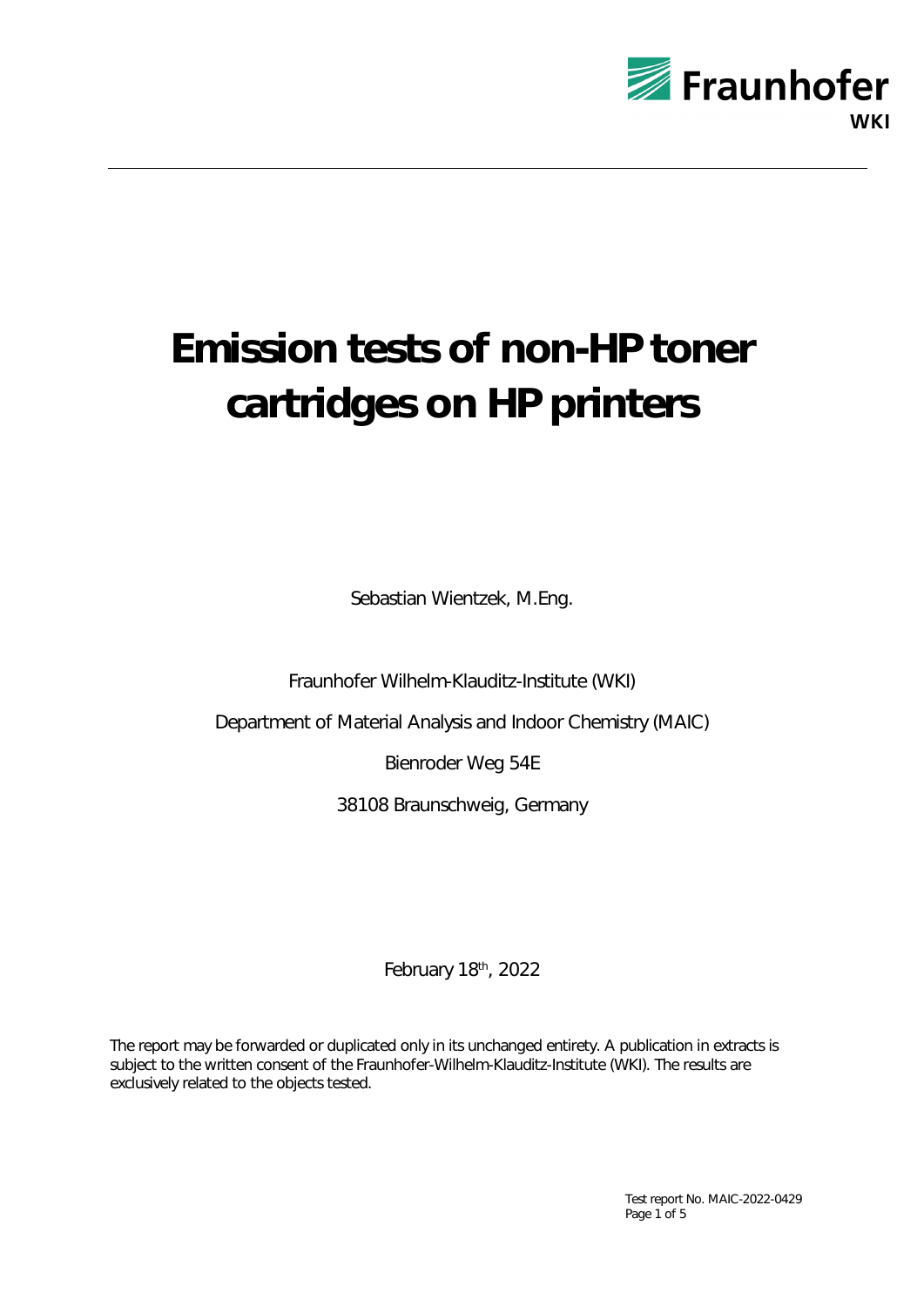

# **Emission tests of non-HP toner cartridges on HP printers**

Sebastian Wientzek, M.Eng.

Fraunhofer Wilhelm-Klauditz-Institute (WKI)

Department of Material Analysis and Indoor Chemistry (MAIC)

Bienroder Weg 54E

38108 Braunschweig, Germany

February 18th, 2022

The report may be forwarded or duplicated only in its unchanged entirety. A publication in extracts is subject to the written consent of the Fraunhofer-Wilhelm-Klauditz-Institute (WKI). The results are exclusively related to the objects tested.

> Test report No. MAIC-2022-0429 Page 1 of 5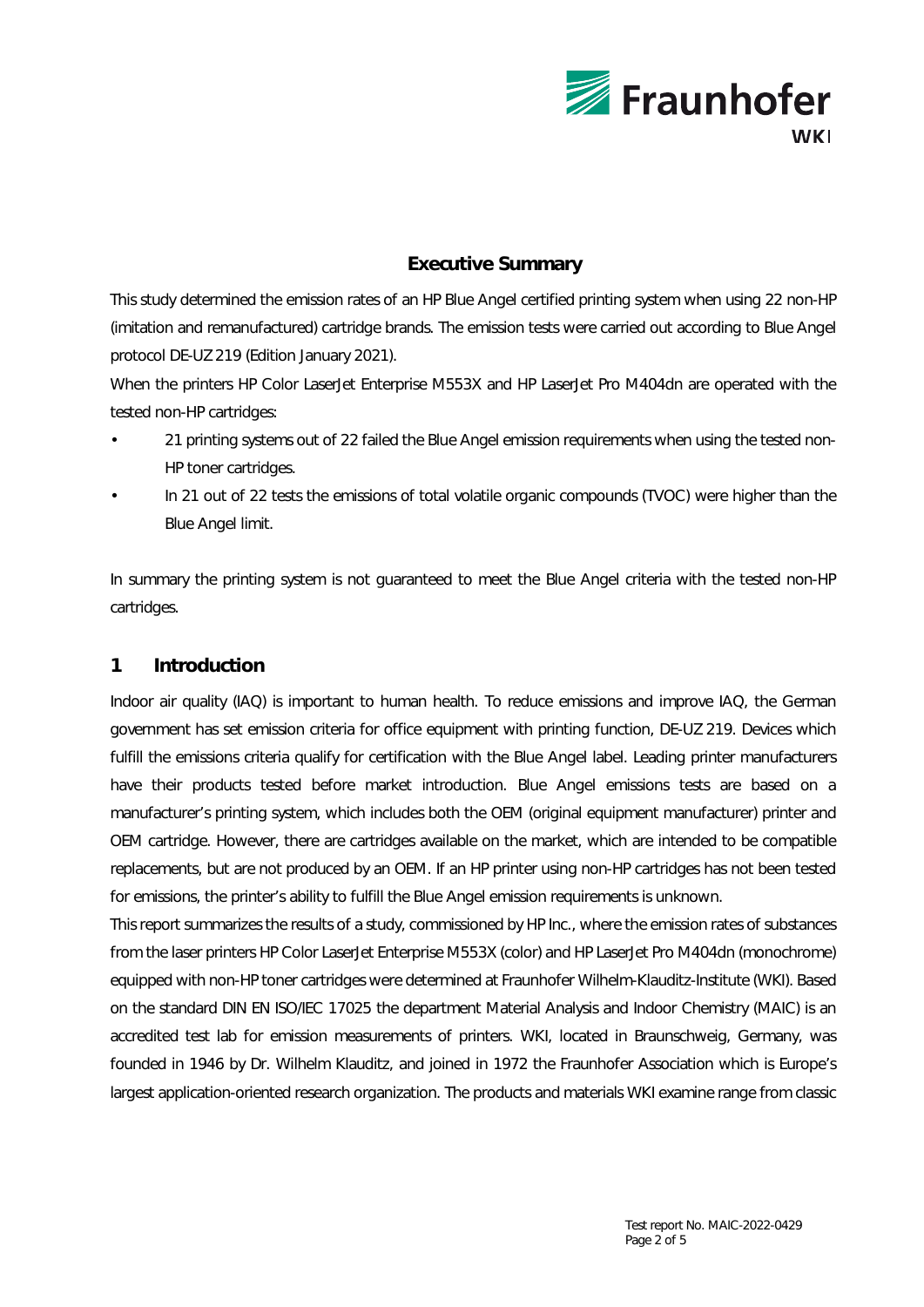

# **Executive Summary**

This study determined the emission rates of an HP Blue Angel certified printing system when using 22 non-HP (imitation and remanufactured) cartridge brands. The emission tests were carried out according to Blue Angel protocol DE-UZ 219 (Edition January 2021).

When the printers HP Color LaserJet Enterprise M553X and HP LaserJet Pro M404dn are operated with the tested non-HP cartridges:

- 21 printing systems out of 22 failed the Blue Angel emission requirements when using the tested non-HP toner cartridges.
- In 21 out of 22 tests the emissions of total volatile organic compounds (TVOC) were higher than the Blue Angel limit.

In summary the printing system is not guaranteed to meet the Blue Angel criteria with the tested non-HP cartridges.

# **1 Introduction**

Indoor air quality (IAQ) is important to human health. To reduce emissions and improve IAQ, the German government has set emission criteria for office equipment with printing function, DE-UZ 219. Devices which fulfill the emissions criteria qualify for certification with the Blue Angel label. Leading printer manufacturers have their products tested before market introduction. Blue Angel emissions tests are based on a manufacturer's printing system, which includes both the OEM (original equipment manufacturer) printer and OEM cartridge. However, there are cartridges available on the market, which are intended to be compatible replacements, but are not produced by an OEM. If an HP printer using non-HP cartridges has not been tested for emissions, the printer's ability to fulfill the Blue Angel emission requirements is unknown.

This report summarizes the results of a study, commissioned by HP Inc., where the emission rates of substances from the laser printers HP Color LaserJet Enterprise M553X (color) and HP LaserJet Pro M404dn (monochrome) equipped with non-HP toner cartridges were determined at Fraunhofer Wilhelm-Klauditz-Institute (WKI). Based on the standard DIN EN ISO/IEC 17025 the department Material Analysis and Indoor Chemistry (MAIC) is an accredited test lab for emission measurements of printers. WKI, located in Braunschweig, Germany, was founded in 1946 by Dr. Wilhelm Klauditz, and joined in 1972 the Fraunhofer Association which is Europe's largest application-oriented research organization. The products and materials WKI examine range from classic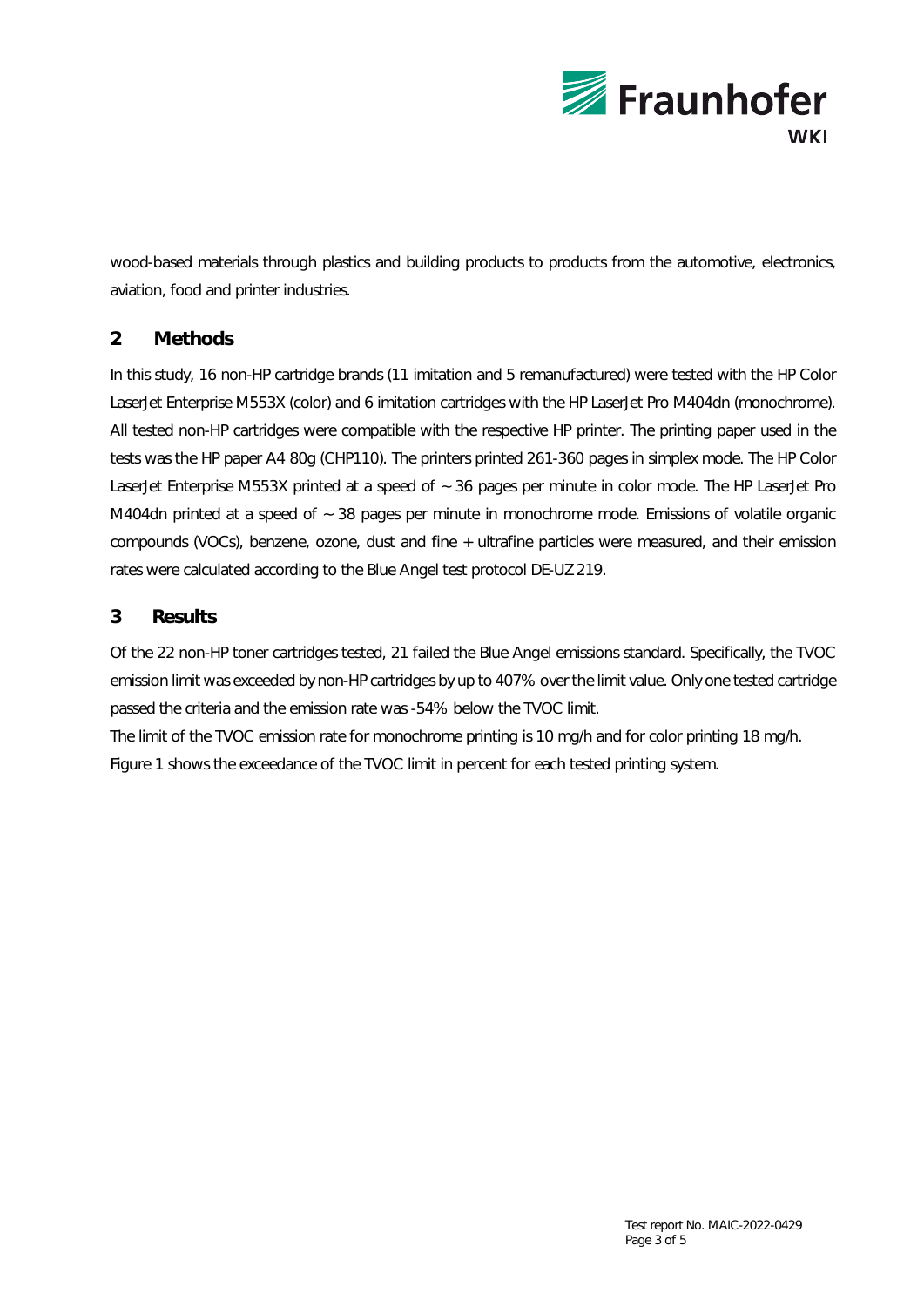

wood-based materials through plastics and building products to products from the automotive, electronics, aviation, food and printer industries.

# **2 Methods**

In this study, 16 non-HP cartridge brands (11 imitation and 5 remanufactured) were tested with the HP Color LaserJet Enterprise M553X (color) and 6 imitation cartridges with the HP LaserJet Pro M404dn (monochrome). All tested non-HP cartridges were compatible with the respective HP printer. The printing paper used in the tests was the HP paper A4 80g (CHP110). The printers printed 261-360 pages in simplex mode. The HP Color LaserJet Enterprise M553X printed at a speed of  $\sim$  36 pages per minute in color mode. The HP LaserJet Pro M404dn printed at a speed of ~ 38 pages per minute in monochrome mode. Emissions of volatile organic compounds (VOCs), benzene, ozone, dust and fine + ultrafine particles were measured, and their emission rates were calculated according to the Blue Angel test protocol DE-UZ 219.

## **3 Results**

Of the 22 non-HP toner cartridges tested, 21 failed the Blue Angel emissions standard. Specifically, the TVOC emission limit was exceeded by non-HP cartridges by up to 407% over the limit value. Only one tested cartridge passed the criteria and the emission rate was -54% below the TVOC limit.

The limit of the TVOC emission rate for monochrome printing is 10 mg/h and for color printing 18 mg/h. Figure 1 shows the exceedance of the TVOC limit in percent for each tested printing system.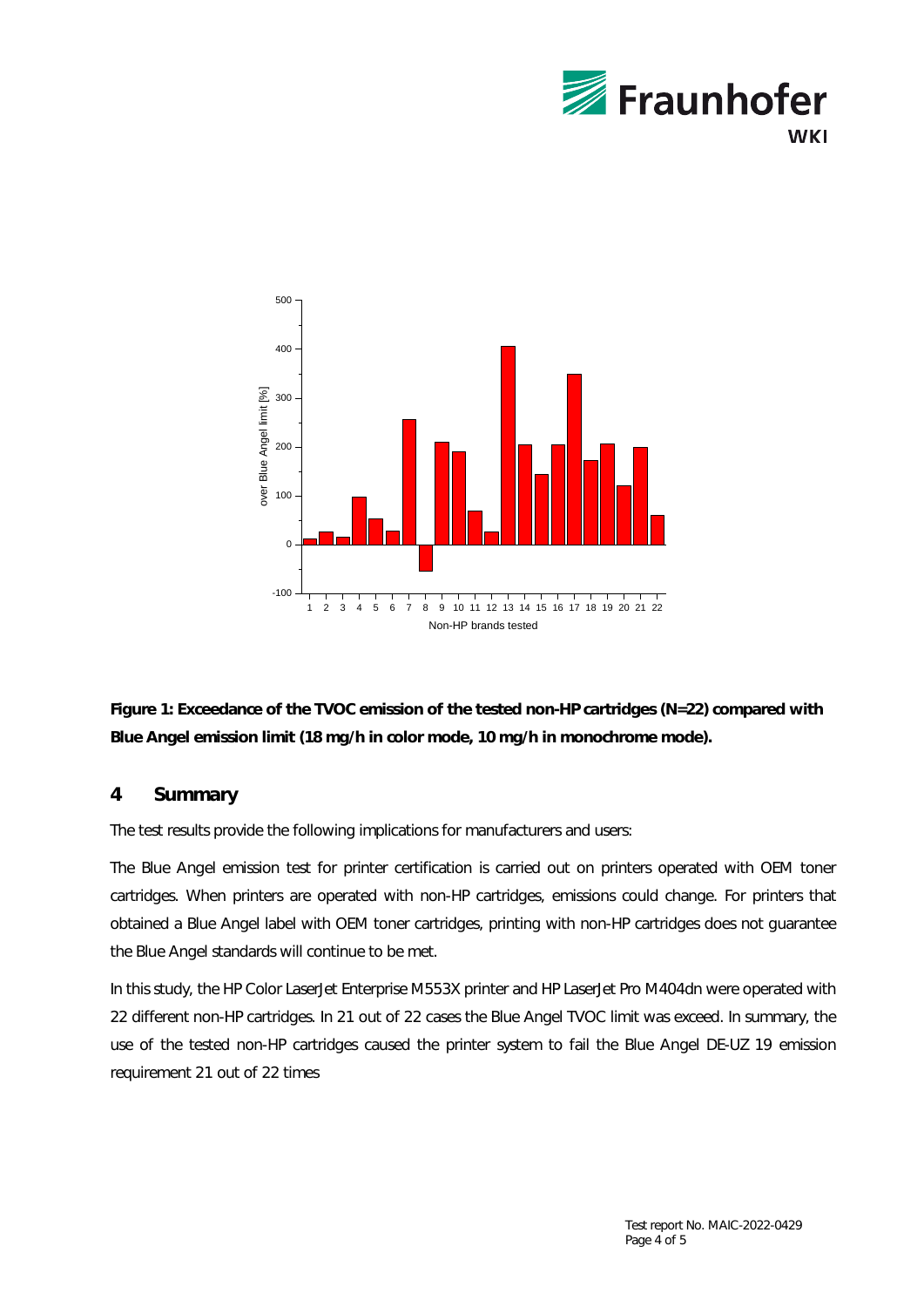



**Figure 1: Exceedance of the TVOC emission of the tested non-HP cartridges (N=22) compared with Blue Angel emission limit (18 mg/h in color mode, 10 mg/h in monochrome mode).** 

## **4 Summary**

The test results provide the following implications for manufacturers and users:

The Blue Angel emission test for printer certification is carried out on printers operated with OEM toner cartridges. When printers are operated with non-HP cartridges, emissions could change. For printers that obtained a Blue Angel label with OEM toner cartridges, printing with non-HP cartridges does not guarantee the Blue Angel standards will continue to be met.

In this study, the HP Color LaserJet Enterprise M553X printer and HP LaserJet Pro M404dn were operated with 22 different non-HP cartridges. In 21 out of 22 cases the Blue Angel TVOC limit was exceed. In summary, the use of the tested non-HP cartridges caused the printer system to fail the Blue Angel DE-UZ 19 emission requirement 21 out of 22 times